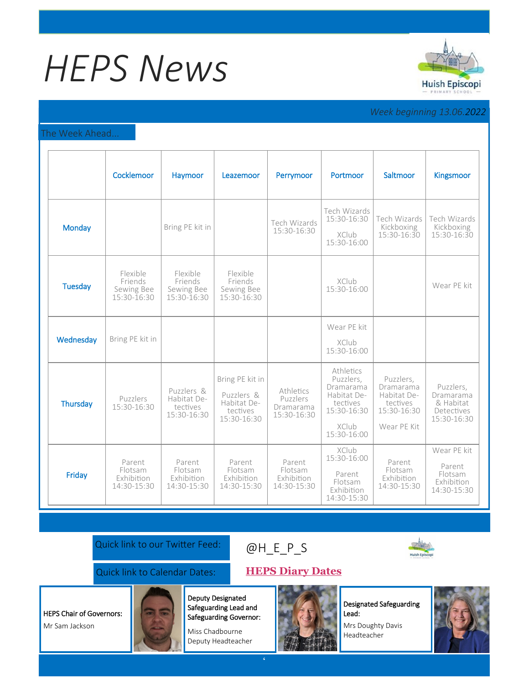# *HEPS News*



## *Week beginning 13.06.2022*

### The Week Ahead...

|                | Cocklemoor                                       | Haymoor                                              | Leazemoor                                                               | Perrymoor                                         | Portmoor                                                                                              | Saltmoor                                                                        | Kingsmoor                                                        |
|----------------|--------------------------------------------------|------------------------------------------------------|-------------------------------------------------------------------------|---------------------------------------------------|-------------------------------------------------------------------------------------------------------|---------------------------------------------------------------------------------|------------------------------------------------------------------|
| <b>Monday</b>  |                                                  | Bring PE kit in                                      |                                                                         | Tech Wizards<br>15:30-16:30                       | Tech Wizards<br>15:30-16:30<br><b>XClub</b><br>15:30-16:00                                            | Tech Wizards<br>Kickboxing<br>15:30-16:30                                       | Tech Wizards<br>Kickboxing<br>15:30-16:30                        |
| <b>Tuesday</b> | Flexible<br>Friends<br>Sewing Bee<br>15:30-16:30 | Flexible<br>Friends<br>Sewing Bee<br>15:30-16:30     | Flexible<br>Friends<br>Sewing Bee<br>15:30-16:30                        |                                                   | XClub<br>15:30-16:00                                                                                  |                                                                                 | Wear PE kit                                                      |
| Wednesday      | Bring PE kit in                                  |                                                      |                                                                         |                                                   | Wear PE kit<br>XClub<br>15:30-16:00                                                                   |                                                                                 |                                                                  |
| Thursday       | Puzzlers<br>15:30-16:30                          | Puzzlers &<br>Habitat De-<br>tectives<br>15:30-16:30 | Bring PE kit in<br>Puzzlers &<br>Habitat De-<br>tectives<br>15:30-16:30 | Athletics<br>Puzzlers<br>Dramarama<br>15:30-16:30 | Athletics<br>Puzzlers,<br>Dramarama<br>Habitat De-<br>tectives<br>15:30-16:30<br>XClub<br>15:30-16:00 | Puzzlers,<br>Dramarama<br>Habitat De-<br>tectives<br>15:30-16:30<br>Wear PE Kit | Puzzlers,<br>Dramarama<br>& Habitat<br>Detectives<br>15:30-16:30 |
| Friday         | Parent<br>Flotsam<br>Exhibition<br>14:30-15:30   | Parent<br>Flotsam<br>Exhibition<br>14:30-15:30       | Parent<br>Flotsam<br>Exhibition<br>14:30-15:30                          | Parent<br>Flotsam<br>Exhibition<br>14:30-15:30    | XClub<br>15:30-16:00<br>Parent<br>Flotsam<br>Exhibition<br>14:30-15:30                                | Parent<br>Flotsam<br>Exhibition<br>14:30-15:30                                  | Wear PE kit<br>Parent<br>Flotsam<br>Exhibition<br>14:30-15:30    |

Quick link to our Twitter Feed:

## [@H\\_E\\_](https://huishepiscopiprimary.co.uk/diary-dates/)P\_S



## Quick link to Calendar Dates: **[HEPS Diary Dates](https://huishepiscopiprimary.co.uk/diary-dates/)**

HEPS Chair of Governors:

Mr Sam Jackson



Deputy Designated Safeguarding Lead and Safeguarding Governor:

Miss Chadbourne Deputy Headteacher



Designated Safeguarding Lead:

Mrs Doughty Davis Headteacher